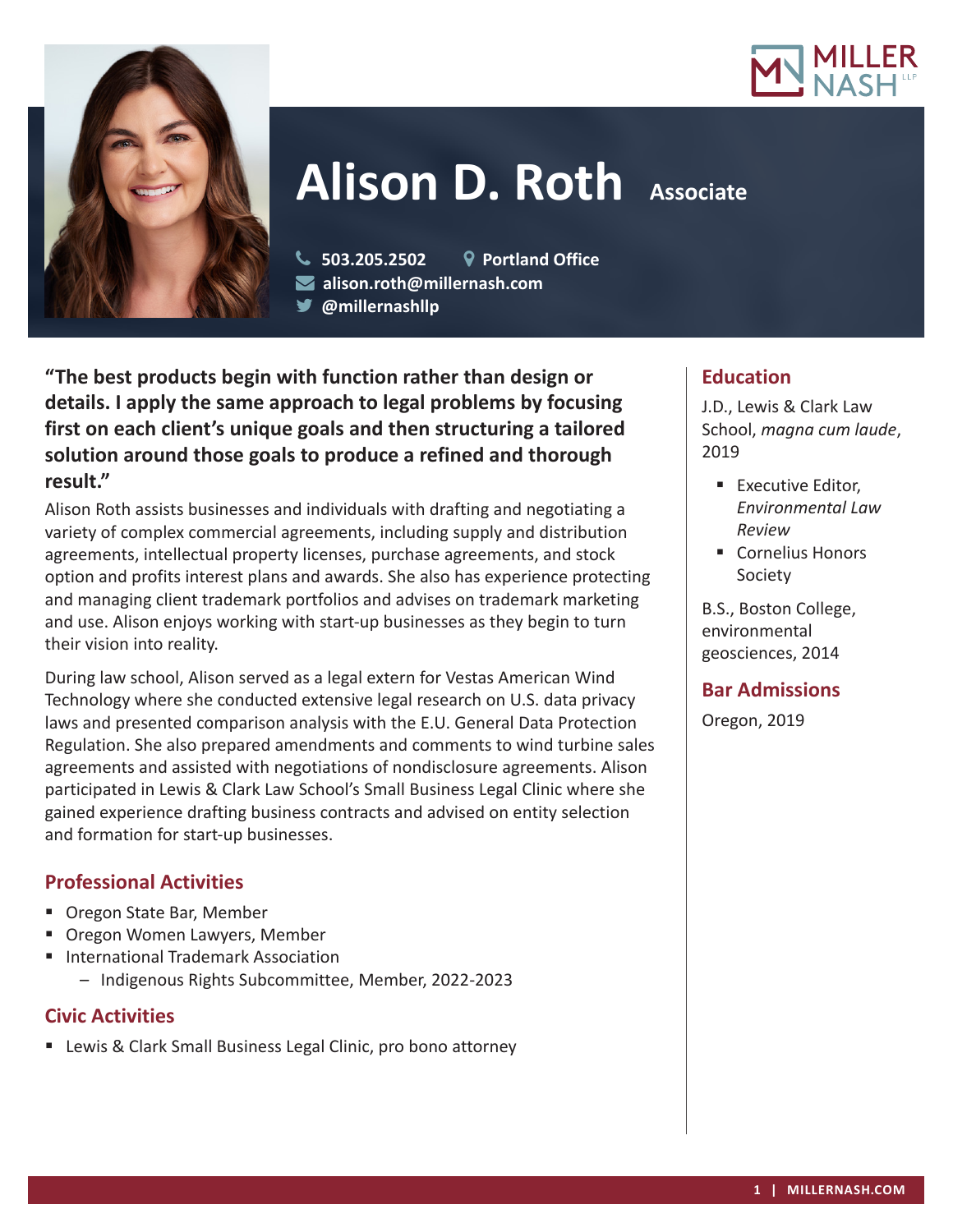



# **Alison D. Roth Associate**

 **503.205.2502 Portland Office alison.roth@millernash.com @millernashllp**

**"The best products begin with function rather than design or details. I apply the same approach to legal problems by focusing first on each client's unique goals and then structuring a tailored solution around those goals to produce a refined and thorough result."**

Alison Roth assists businesses and individuals with drafting and negotiating a variety of complex commercial agreements, including supply and distribution agreements, intellectual property licenses, purchase agreements, and stock option and profits interest plans and awards. She also has experience protecting and managing client trademark portfolios and advises on trademark marketing and use. Alison enjoys working with start-up businesses as they begin to turn their vision into reality.

During law school, Alison served as a legal extern for Vestas American Wind Technology where she conducted extensive legal research on U.S. data privacy laws and presented comparison analysis with the E.U. General Data Protection Regulation. She also prepared amendments and comments to wind turbine sales agreements and assisted with negotiations of nondisclosure agreements. Alison participated in Lewis & Clark Law School's Small Business Legal Clinic where she gained experience drafting business contracts and advised on entity selection and formation for start-up businesses.

# **Professional Activities**

- Oregon State Bar, Member
- **Dregon Women Lawyers, Member**
- **International Trademark Association** 
	- Indigenous Rights Subcommittee, Member, 2022-2023

# **Civic Activities**

■ Lewis & Clark Small Business Legal Clinic, pro bono attorney

# **Education**

J.D., Lewis & Clark Law School, *magna cum laude*, 2019

- **Executive Editor,** *Environmental Law Review*
- Cornelius Honors **Society**

B.S., Boston College, environmental geosciences, 2014

# **Bar Admissions**

Oregon, 2019